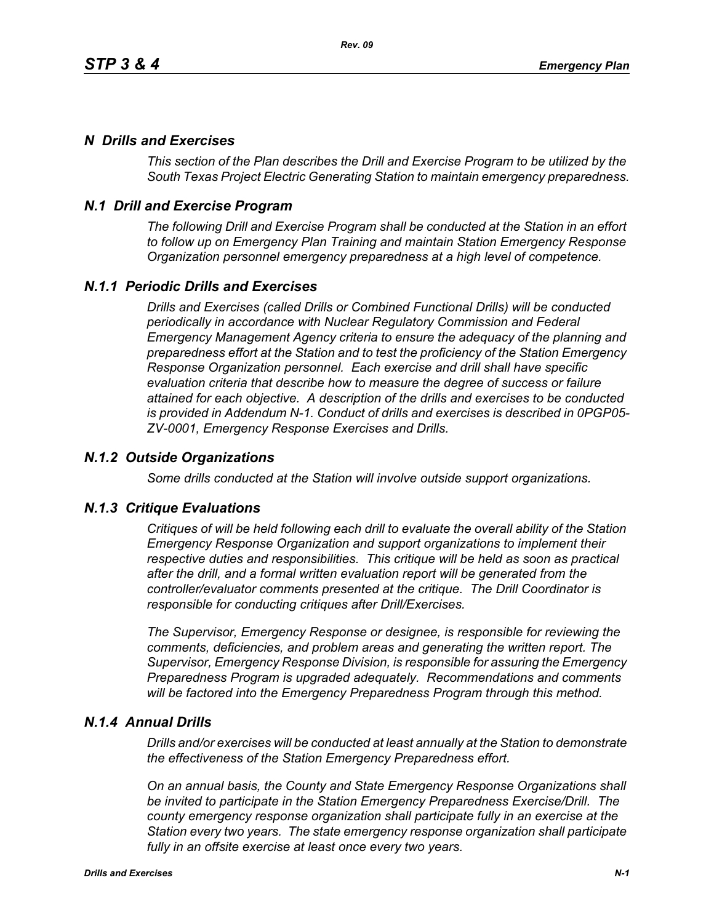# *N Drills and Exercises*

*This section of the Plan describes the Drill and Exercise Program to be utilized by the South Texas Project Electric Generating Station to maintain emergency preparedness.*

# *N.1 Drill and Exercise Program*

*The following Drill and Exercise Program shall be conducted at the Station in an effort to follow up on Emergency Plan Training and maintain Station Emergency Response Organization personnel emergency preparedness at a high level of competence.*

# *N.1.1 Periodic Drills and Exercises*

*Drills and Exercises (called Drills or Combined Functional Drills) will be conducted periodically in accordance with Nuclear Regulatory Commission and Federal Emergency Management Agency criteria to ensure the adequacy of the planning and preparedness effort at the Station and to test the proficiency of the Station Emergency Response Organization personnel. Each exercise and drill shall have specific evaluation criteria that describe how to measure the degree of success or failure attained for each objective. A description of the drills and exercises to be conducted is provided in Addendum N-1. Conduct of drills and exercises is described in 0PGP05- ZV-0001, Emergency Response Exercises and Drills.*

## *N.1.2 Outside Organizations*

*Some drills conducted at the Station will involve outside support organizations.* 

### *N.1.3 Critique Evaluations*

*Critiques of will be held following each drill to evaluate the overall ability of the Station Emergency Response Organization and support organizations to implement their respective duties and responsibilities. This critique will be held as soon as practical after the drill, and a formal written evaluation report will be generated from the controller/evaluator comments presented at the critique. The Drill Coordinator is responsible for conducting critiques after Drill/Exercises.* 

*The Supervisor, Emergency Response or designee, is responsible for reviewing the comments, deficiencies, and problem areas and generating the written report. The Supervisor, Emergency Response Division, is responsible for assuring the Emergency Preparedness Program is upgraded adequately. Recommendations and comments will be factored into the Emergency Preparedness Program through this method.* 

### *N.1.4 Annual Drills*

*Drills and/or exercises will be conducted at least annually at the Station to demonstrate the effectiveness of the Station Emergency Preparedness effort.* 

*On an annual basis, the County and State Emergency Response Organizations shall be invited to participate in the Station Emergency Preparedness Exercise/Drill. The county emergency response organization shall participate fully in an exercise at the Station every two years. The state emergency response organization shall participate fully in an offsite exercise at least once every two years.*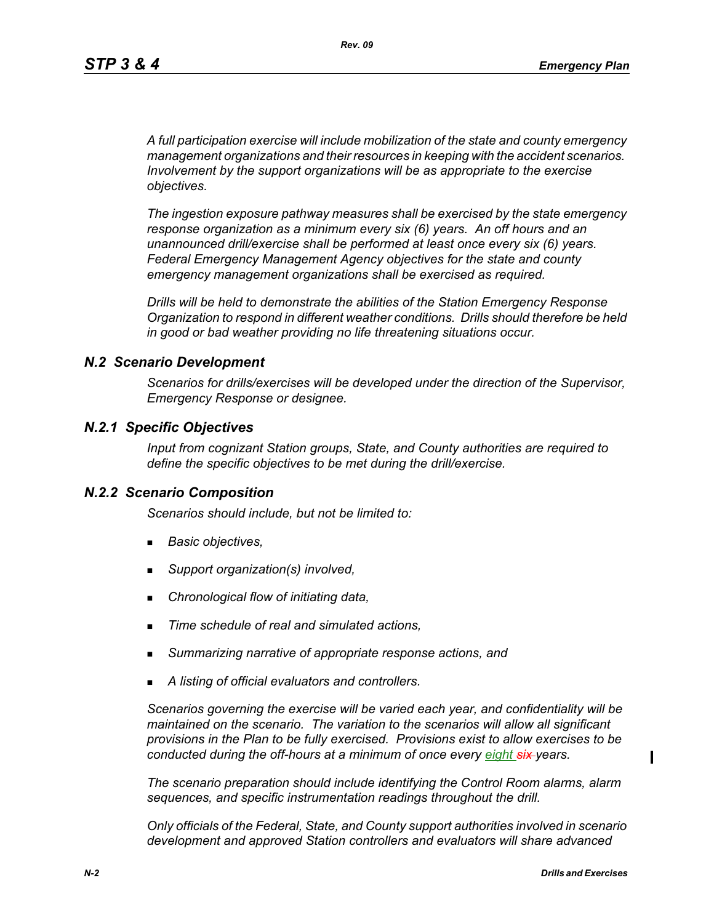*A full participation exercise will include mobilization of the state and county emergency management organizations and their resources in keeping with the accident scenarios. Involvement by the support organizations will be as appropriate to the exercise objectives.* 

*The ingestion exposure pathway measures shall be exercised by the state emergency response organization as a minimum every six (6) years. An off hours and an unannounced drill/exercise shall be performed at least once every six (6) years. Federal Emergency Management Agency objectives for the state and county emergency management organizations shall be exercised as required.*

*Drills will be held to demonstrate the abilities of the Station Emergency Response Organization to respond in different weather conditions. Drills should therefore be held in good or bad weather providing no life threatening situations occur.*

#### *N.2 Scenario Development*

*Scenarios for drills/exercises will be developed under the direction of the Supervisor, Emergency Response or designee.* 

#### *N.2.1 Specific Objectives*

*Input from cognizant Station groups, State, and County authorities are required to define the specific objectives to be met during the drill/exercise.*

#### *N.2.2 Scenario Composition*

*Scenarios should include, but not be limited to:*

- *Basic objectives,*
- *Support organization(s) involved,*
- *Chronological flow of initiating data,*
- *Time schedule of real and simulated actions,*
- *Summarizing narrative of appropriate response actions, and*
- *A listing of official evaluators and controllers.*

*Scenarios governing the exercise will be varied each year, and confidentiality will be maintained on the scenario. The variation to the scenarios will allow all significant provisions in the Plan to be fully exercised. Provisions exist to allow exercises to be conducted during the off-hours at a minimum of once every eight six years.*

*The scenario preparation should include identifying the Control Room alarms, alarm sequences, and specific instrumentation readings throughout the drill.*

*Only officials of the Federal, State, and County support authorities involved in scenario development and approved Station controllers and evaluators will share advanced* 

 $\blacksquare$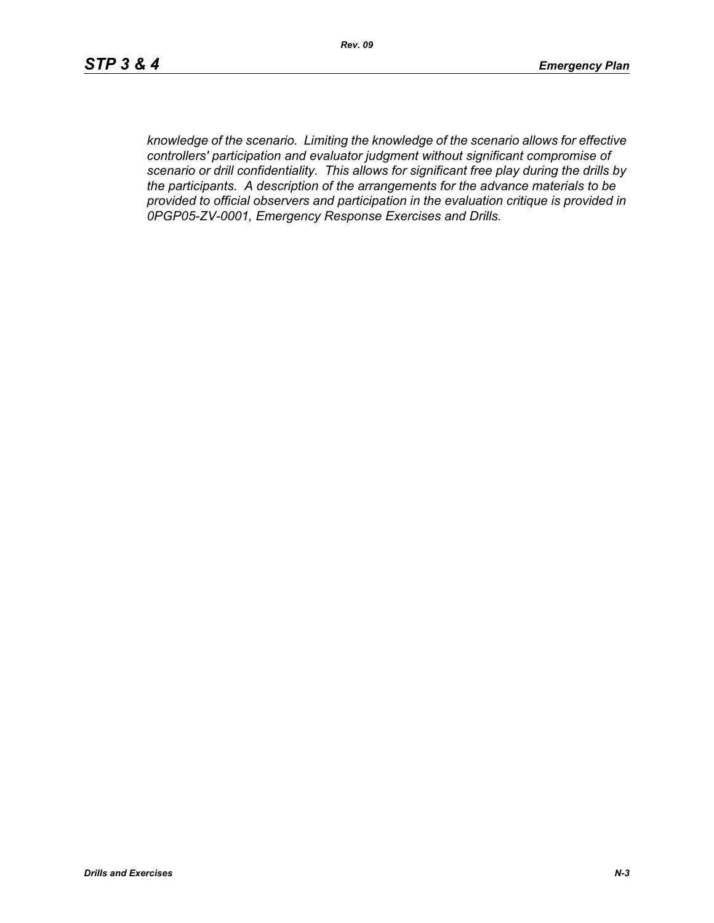*knowledge of the scenario. Limiting the knowledge of the scenario allows for effective controllers' participation and evaluator judgment without significant compromise of scenario or drill confidentiality. This allows for significant free play during the drills by the participants. A description of the arrangements for the advance materials to be provided to official observers and participation in the evaluation critique is provided in 0PGP05-ZV-0001, Emergency Response Exercises and Drills.*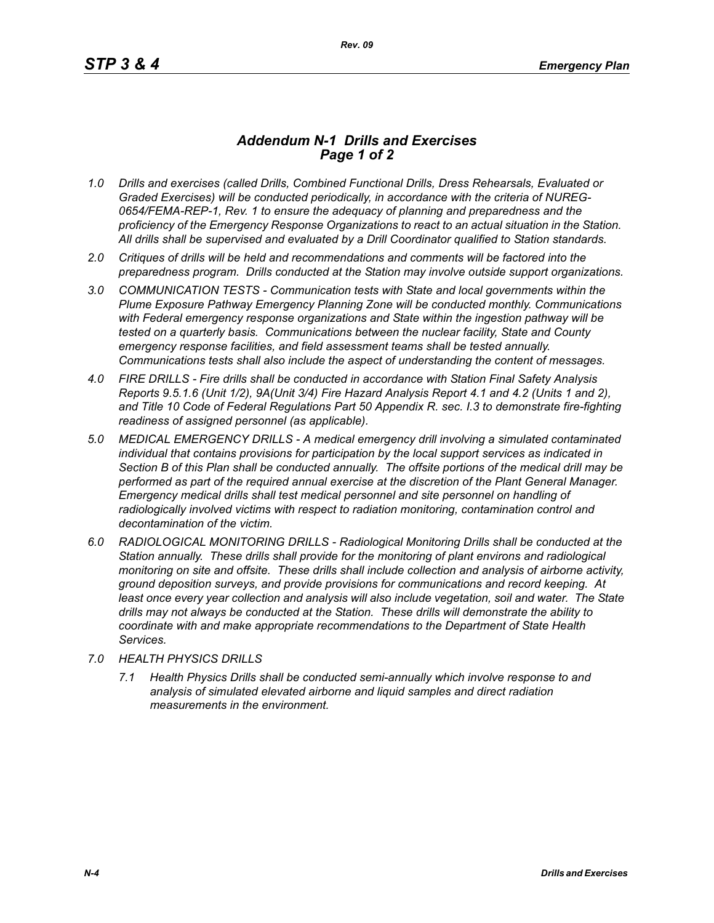## *Addendum N-1 Drills and Exercises Page 1 of 2*

- *1.0 Drills and exercises (called Drills, Combined Functional Drills, Dress Rehearsals, Evaluated or Graded Exercises) will be conducted periodically, in accordance with the criteria of NUREG-0654/FEMA-REP-1, Rev. 1 to ensure the adequacy of planning and preparedness and the proficiency of the Emergency Response Organizations to react to an actual situation in the Station. All drills shall be supervised and evaluated by a Drill Coordinator qualified to Station standards.*
- *2.0 Critiques of drills will be held and recommendations and comments will be factored into the preparedness program. Drills conducted at the Station may involve outside support organizations.*
- *3.0 COMMUNICATION TESTS Communication tests with State and local governments within the Plume Exposure Pathway Emergency Planning Zone will be conducted monthly. Communications with Federal emergency response organizations and State within the ingestion pathway will be tested on a quarterly basis. Communications between the nuclear facility, State and County emergency response facilities, and field assessment teams shall be tested annually. Communications tests shall also include the aspect of understanding the content of messages.*
- *4.0 FIRE DRILLS Fire drills shall be conducted in accordance with Station Final Safety Analysis Reports 9.5.1.6 (Unit 1/2), 9A(Unit 3/4) Fire Hazard Analysis Report 4.1 and 4.2 (Units 1 and 2), and Title 10 Code of Federal Regulations Part 50 Appendix R. sec. I.3 to demonstrate fire-fighting readiness of assigned personnel (as applicable).*
- *5.0 MEDICAL EMERGENCY DRILLS A medical emergency drill involving a simulated contaminated individual that contains provisions for participation by the local support services as indicated in Section B of this Plan shall be conducted annually. The offsite portions of the medical drill may be performed as part of the required annual exercise at the discretion of the Plant General Manager. Emergency medical drills shall test medical personnel and site personnel on handling of*  radiologically involved victims with respect to radiation monitoring, contamination control and *decontamination of the victim.*
- *6.0 RADIOLOGICAL MONITORING DRILLS Radiological Monitoring Drills shall be conducted at the Station annually. These drills shall provide for the monitoring of plant environs and radiological monitoring on site and offsite. These drills shall include collection and analysis of airborne activity, ground deposition surveys, and provide provisions for communications and record keeping. At*  least once every year collection and analysis will also include vegetation, soil and water. The State *drills may not always be conducted at the Station. These drills will demonstrate the ability to coordinate with and make appropriate recommendations to the Department of State Health Services.*
- *7.0 HEALTH PHYSICS DRILLS*
	- *7.1 Health Physics Drills shall be conducted semi-annually which involve response to and analysis of simulated elevated airborne and liquid samples and direct radiation measurements in the environment.*